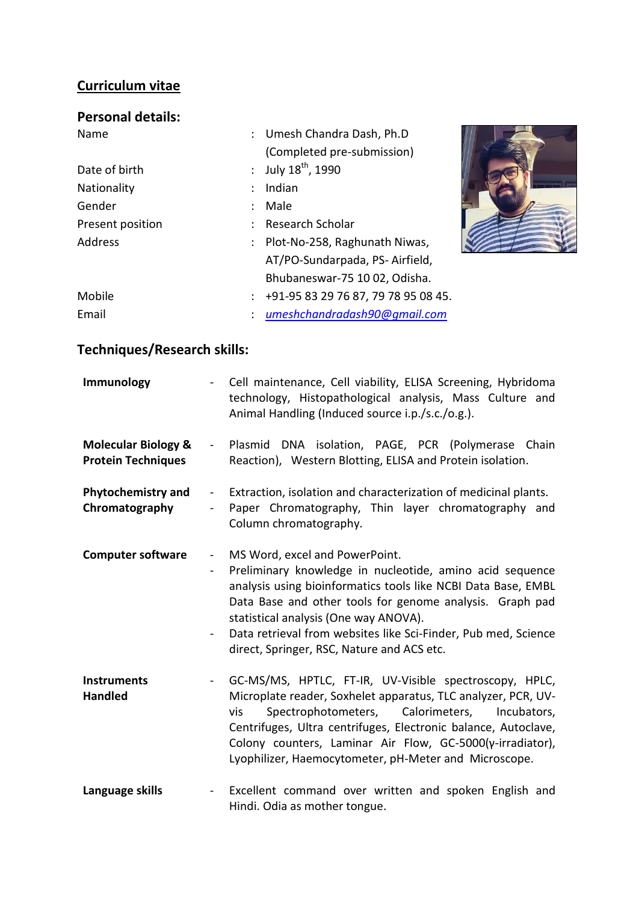## **Curriculum vitae**

# **Personal details:**

| Name             | : Umesh Chandra Dash, Ph.D          |  |
|------------------|-------------------------------------|--|
|                  | (Completed pre-submission)          |  |
| Date of birth    | : July $18^{th}$ , 1990             |  |
| Nationality      | Indian                              |  |
| Gender           | Male                                |  |
| Present position | <b>Research Scholar</b>             |  |
| <b>Address</b>   | Plot-No-258, Raghunath Niwas,       |  |
|                  | AT/PO-Sundarpada, PS-Airfield,      |  |
|                  | Bhubaneswar-75 10 02, Odisha.       |  |
| Mobile           | +91-95 83 29 76 87, 79 78 95 08 45. |  |
| Email            | umeshchandradash90@qmail.com        |  |

# **Techniques/Research skills:**

| Immunology                                                  | $\qquad \qquad \blacksquare$                                                   | Cell maintenance, Cell viability, ELISA Screening, Hybridoma<br>technology, Histopathological analysis, Mass Culture and<br>Animal Handling (Induced source i.p./s.c./o.g.).                                                                                                                                                                                                     |
|-------------------------------------------------------------|--------------------------------------------------------------------------------|----------------------------------------------------------------------------------------------------------------------------------------------------------------------------------------------------------------------------------------------------------------------------------------------------------------------------------------------------------------------------------|
| <b>Molecular Biology &amp;</b><br><b>Protein Techniques</b> | $\sim 10^4$                                                                    | Plasmid DNA isolation, PAGE, PCR (Polymerase Chain<br>Reaction), Western Blotting, ELISA and Protein isolation.                                                                                                                                                                                                                                                                  |
| <b>Phytochemistry and</b><br>Chromatography                 | $\blacksquare$                                                                 | Extraction, isolation and characterization of medicinal plants.<br>Paper Chromatography, Thin layer chromatography and<br>Column chromatography.                                                                                                                                                                                                                                 |
| <b>Computer software</b>                                    | $\blacksquare$<br>$\qquad \qquad \blacksquare$<br>$\qquad \qquad \blacksquare$ | MS Word, excel and PowerPoint.<br>Preliminary knowledge in nucleotide, amino acid sequence<br>analysis using bioinformatics tools like NCBI Data Base, EMBL<br>Data Base and other tools for genome analysis. Graph pad<br>statistical analysis (One way ANOVA).<br>Data retrieval from websites like Sci-Finder, Pub med, Science<br>direct, Springer, RSC, Nature and ACS etc. |
| <b>Instruments</b><br><b>Handled</b>                        | $\qquad \qquad \blacksquare$                                                   | GC-MS/MS, HPTLC, FT-IR, UV-Visible spectroscopy, HPLC,<br>Microplate reader, Soxhelet apparatus, TLC analyzer, PCR, UV-<br>Spectrophotometers, Calorimeters,<br>vis<br>Incubators,<br>Centrifuges, Ultra centrifuges, Electronic balance, Autoclave,<br>Colony counters, Laminar Air Flow, GC-5000(y-irradiator),<br>Lyophilizer, Haemocytometer, pH-Meter and Microscope.       |
| Language skills                                             | $\blacksquare$                                                                 | Excellent command over written and spoken English and<br>Hindi. Odia as mother tongue.                                                                                                                                                                                                                                                                                           |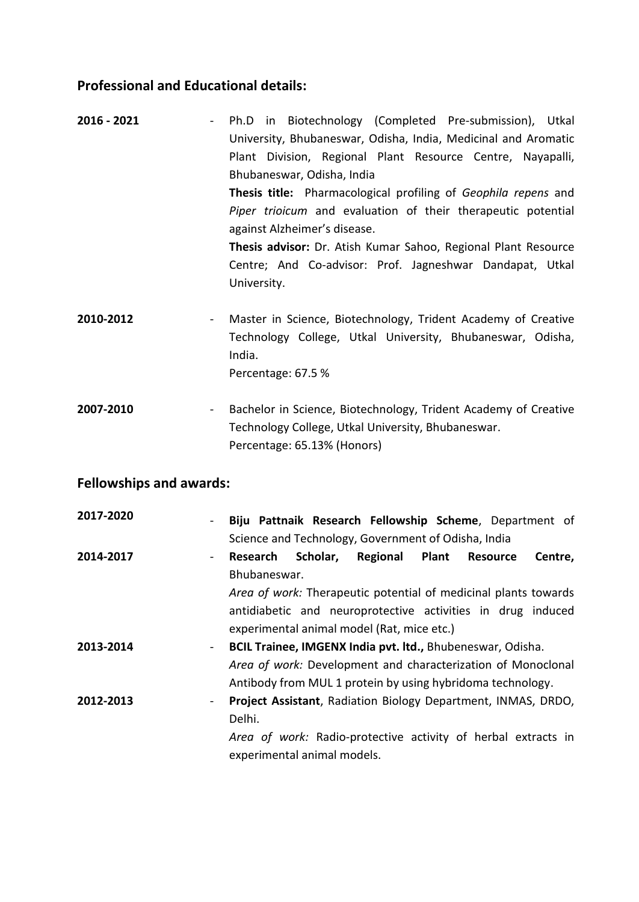## **Professional and Educational details:**

| 2016 - 2021 | Ph.D in Biotechnology (Completed Pre-submission), Utkal<br>$\sim$ |
|-------------|-------------------------------------------------------------------|
|             | University, Bhubaneswar, Odisha, India, Medicinal and Aromatic    |
|             | Plant Division, Regional Plant Resource Centre, Nayapalli,        |
|             | Bhubaneswar, Odisha, India                                        |
|             | Thesis title: Pharmacological profiling of Geophila repens and    |
|             | Piper trioicum and evaluation of their therapeutic potential      |
|             | against Alzheimer's disease.                                      |
|             | Thesis advisor: Dr. Atish Kumar Sahoo, Regional Plant Resource    |
|             | Centre; And Co-advisor: Prof. Jagneshwar Dandapat, Utkal          |
|             | University.                                                       |
|             |                                                                   |
|             |                                                                   |

- 2010-2012 Master in Science, Biotechnology, Trident Academy of Creative Technology College, Utkal University, Bhubaneswar, Odisha, India. Percentage: 67.5 %
- **2007-2010** Bachelor in Science, Biotechnology, Trident Academy of Creative Technology College, Utkal University, Bhubaneswar. Percentage: 65.13% (Honors)

#### **Fellowships and awards:**

| 2017-2020<br>$\blacksquare$ | Biju Pattnaik Research Fellowship Scheme, Department of<br>Science and Technology, Government of Odisha, India |
|-----------------------------|----------------------------------------------------------------------------------------------------------------|
| 2014-2017<br>$\sim$         | Scholar,<br><b>Regional Plant</b><br>Research<br>Resource<br>Centre,<br>Bhubaneswar.                           |
|                             | Area of work: Therapeutic potential of medicinal plants towards                                                |
|                             | antidiabetic and neuroprotective activities in drug induced<br>experimental animal model (Rat, mice etc.)      |
| 2013-2014<br>$\blacksquare$ | BCIL Trainee, IMGENX India pvt. Itd., Bhubeneswar, Odisha.                                                     |
|                             | Area of work: Development and characterization of Monoclonal                                                   |
|                             | Antibody from MUL 1 protein by using hybridoma technology.                                                     |
| 2012-2013<br>$\blacksquare$ | Project Assistant, Radiation Biology Department, INMAS, DRDO,<br>Delhi.                                        |
|                             | Area of work: Radio-protective activity of herbal extracts in<br>experimental animal models.                   |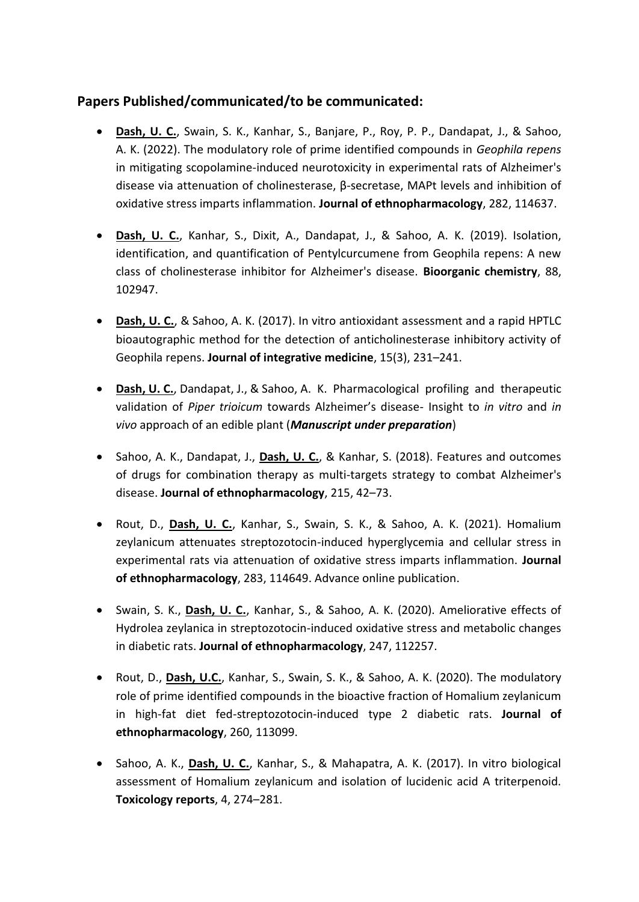## **Papers Published/communicated/to be communicated:**

- **Dash, U. C.**, Swain, S. K., Kanhar, S., Banjare, P., Roy, P. P., Dandapat, J., & Sahoo, A. K. (2022). The modulatory role of prime identified compounds in *Geophila repens* in mitigating scopolamine-induced neurotoxicity in experimental rats of Alzheimer's disease via attenuation of cholinesterase, β-secretase, MAPt levels and inhibition of oxidative stress imparts inflammation. **Journal of ethnopharmacology**, 282, 114637.
- **Dash, U. C.**, Kanhar, S., Dixit, A., Dandapat, J., & Sahoo, A. K. (2019). Isolation, identification, and quantification of Pentylcurcumene from Geophila repens: A new class of cholinesterase inhibitor for Alzheimer's disease. **Bioorganic chemistry**, 88, 102947.
- **Dash, U. C.**, & Sahoo, A. K. (2017). In vitro antioxidant assessment and a rapid HPTLC bioautographic method for the detection of anticholinesterase inhibitory activity of Geophila repens. **Journal of integrative medicine**, 15(3), 231–241.
- **Dash, U. C.**, Dandapat, J., & Sahoo, A. K. Pharmacological profiling and therapeutic validation of *Piper trioicum* towards Alzheimer's disease- Insight to *in vitro* and *in vivo* approach of an edible plant (*Manuscript under preparation*)
- Sahoo, A. K., Dandapat, J., Dash, U. C., & Kanhar, S. (2018). Features and outcomes of drugs for combination therapy as multi-targets strategy to combat Alzheimer's disease. **Journal of ethnopharmacology**, 215, 42–73.
- Rout, D., **Dash, U. C.**, Kanhar, S., Swain, S. K., & Sahoo, A. K. (2021). Homalium zeylanicum attenuates streptozotocin-induced hyperglycemia and cellular stress in experimental rats via attenuation of oxidative stress imparts inflammation. **Journal of ethnopharmacology**, 283, 114649. Advance online publication.
- Swain, S. K., **Dash, U. C.**, Kanhar, S., & Sahoo, A. K. (2020). Ameliorative effects of Hydrolea zeylanica in streptozotocin-induced oxidative stress and metabolic changes in diabetic rats. **Journal of ethnopharmacology**, 247, 112257.
- Rout, D., **Dash, U.C.**, Kanhar, S., Swain, S. K., & Sahoo, A. K. (2020). The modulatory role of prime identified compounds in the bioactive fraction of Homalium zeylanicum in high-fat diet fed-streptozotocin-induced type 2 diabetic rats. **Journal of ethnopharmacology**, 260, 113099.
- **Sahoo, A. K., Dash, U. C., Kanhar, S., & Mahapatra, A. K. (2017). In vitro biological** assessment of Homalium zeylanicum and isolation of lucidenic acid A triterpenoid. **Toxicology reports**, 4, 274–281.